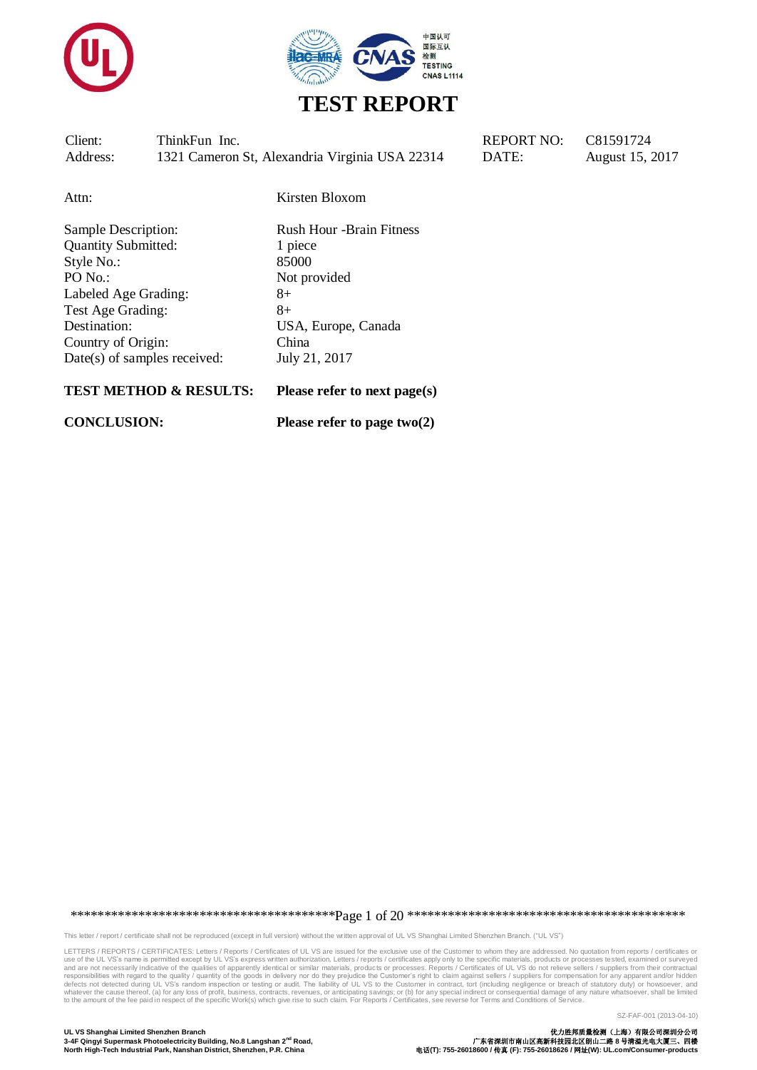



| Client:  | ThinkFun Inc.                                  |
|----------|------------------------------------------------|
| Address: | 1321 Cameron St, Alexandria Virginia USA 22314 |

REPORT NO:  $C81591724$ DATE: August 15, 2017

Attn: Kirsten Bloxom

Sample Description: Rush Hour -Brain Fitness Quantity Submitted: 1 piece Style No.: 85000 PO No.: Not provided Labeled Age Grading: 8+ Test Age Grading: 8+ Destination: USA, Europe, Canada Country of Origin: China Date(s) of samples received: July 21, 2017

#### **TEST METHOD & RESULTS: Please refer to next page(s)**

**CONCLUSION: Please refer to page two(2)**

\*\*\*\*\*\*\*\*\*\*\*\*\*\*\*\*\*\*\*\*\*\*\*\*\*\*\*\*\*\*\*\*\*\*\*\*\*\*\*Page 1 of 20 \*\*\*\*\*\*\*\*\*\*\*\*\*\*\*\*\*\*\*\*\*\*\*\*\*\*\*\*\*\*\*\*\*\*\*\*\*\*\*\*\*

This letter / report / certificate shall not be reproduced (except in full version) without the written approval of UL VS Shanghai Limited Shenzhen Branch. ("UL VS")

LETTERS / REPORTS / CERTIFICATES: Letters / Reports / Certificates of UL VS are issued for the exclusive use of the Customer to whom they are addressed. No quotation from reports / certificates or<br>use of the UL VS's name i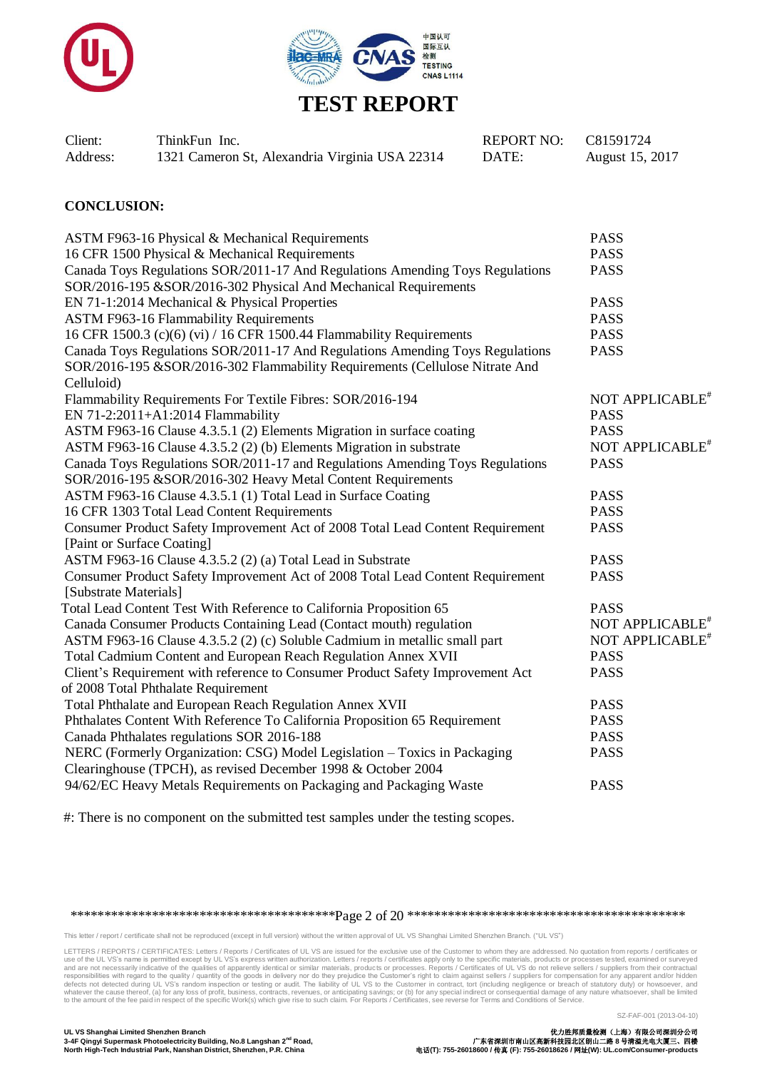



| Client:  | ThinkFun Inc.                                  | REPORT NO: C81591724 |                 |
|----------|------------------------------------------------|----------------------|-----------------|
| Address: | 1321 Cameron St, Alexandria Virginia USA 22314 | DATE:                | August 15, 2017 |

#### **CONCLUSION:**

| ASTM F963-16 Physical & Mechanical Requirements                                | <b>PASS</b>                 |
|--------------------------------------------------------------------------------|-----------------------------|
| 16 CFR 1500 Physical & Mechanical Requirements                                 | <b>PASS</b>                 |
| Canada Toys Regulations SOR/2011-17 And Regulations Amending Toys Regulations  | <b>PASS</b>                 |
| SOR/2016-195 &SOR/2016-302 Physical And Mechanical Requirements                |                             |
| EN 71-1:2014 Mechanical & Physical Properties                                  | <b>PASS</b>                 |
| <b>ASTM F963-16 Flammability Requirements</b>                                  | <b>PASS</b>                 |
| 16 CFR 1500.3 (c)(6) (vi) / 16 CFR 1500.44 Flammability Requirements           | <b>PASS</b>                 |
| Canada Toys Regulations SOR/2011-17 And Regulations Amending Toys Regulations  | <b>PASS</b>                 |
| SOR/2016-195 &SOR/2016-302 Flammability Requirements (Cellulose Nitrate And    |                             |
| Celluloid)                                                                     |                             |
| Flammability Requirements For Textile Fibres: SOR/2016-194                     | NOT APPLICABLE <sup>*</sup> |
| EN 71-2:2011+A1:2014 Flammability                                              | <b>PASS</b>                 |
| ASTM F963-16 Clause 4.3.5.1 (2) Elements Migration in surface coating          | <b>PASS</b>                 |
| ASTM F963-16 Clause 4.3.5.2 (2) (b) Elements Migration in substrate            | NOT APPLICABLE <sup>*</sup> |
| Canada Toys Regulations SOR/2011-17 and Regulations Amending Toys Regulations  | <b>PASS</b>                 |
| SOR/2016-195 &SOR/2016-302 Heavy Metal Content Requirements                    |                             |
| ASTM F963-16 Clause 4.3.5.1 (1) Total Lead in Surface Coating                  | <b>PASS</b>                 |
| 16 CFR 1303 Total Lead Content Requirements                                    | <b>PASS</b>                 |
| Consumer Product Safety Improvement Act of 2008 Total Lead Content Requirement | <b>PASS</b>                 |
| [Paint or Surface Coating]                                                     |                             |
| ASTM F963-16 Clause 4.3.5.2 (2) (a) Total Lead in Substrate                    | <b>PASS</b>                 |
| Consumer Product Safety Improvement Act of 2008 Total Lead Content Requirement | <b>PASS</b>                 |
| [Substrate Materials]                                                          |                             |
| Total Lead Content Test With Reference to California Proposition 65            | <b>PASS</b>                 |
| Canada Consumer Products Containing Lead (Contact mouth) regulation            | NOT APPLICABLE <sup>*</sup> |
| ASTM F963-16 Clause 4.3.5.2 (2) (c) Soluble Cadmium in metallic small part     | NOT APPLICABLE <sup>*</sup> |
| Total Cadmium Content and European Reach Regulation Annex XVII                 | <b>PASS</b>                 |
| Client's Requirement with reference to Consumer Product Safety Improvement Act | <b>PASS</b>                 |
| of 2008 Total Phthalate Requirement                                            |                             |
| Total Phthalate and European Reach Regulation Annex XVII                       | <b>PASS</b>                 |
| Phthalates Content With Reference To California Proposition 65 Requirement     | <b>PASS</b>                 |
| Canada Phthalates regulations SOR 2016-188                                     | <b>PASS</b>                 |
| NERC (Formerly Organization: CSG) Model Legislation - Toxics in Packaging      | <b>PASS</b>                 |
| Clearinghouse (TPCH), as revised December 1998 & October 2004                  |                             |
| 94/62/EC Heavy Metals Requirements on Packaging and Packaging Waste            | <b>PASS</b>                 |
|                                                                                |                             |

#: There is no component on the submitted test samples under the testing scopes.

\*\*\*\*\*\*\*\*\*\*\*\*\*\*\*\*\*\*\*\*\*\*\*\*\*\*\*\*\*\*\*\*\*\*\*\*\*\*\*Page 2 of 20 \*\*\*\*\*\*\*\*\*\*\*\*\*\*\*\*\*\*\*\*\*\*\*\*\*\*\*\*\*\*\*\*\*\*\*\*\*\*\*\*\*

This letter / report / certificate shall not be reproduced (except in full version) without the written approval of UL VS Shanghai Limited Shenzhen Branch. ("UL VS")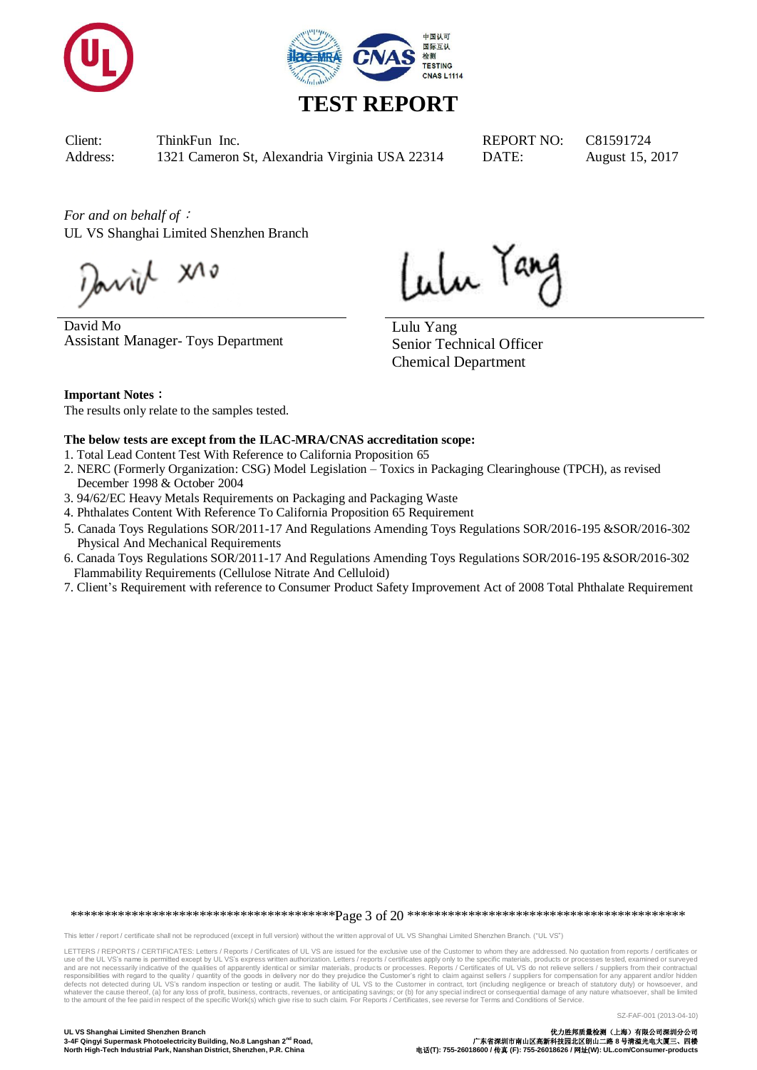



# **TEST REPORT**

Client: ThinkFun Inc. REPORT NO: C81591724 Address: 1321 Cameron St, Alexandria Virginia USA 22314 DATE: August 15, 2017

*For and on behalf of*: UL VS Shanghai Limited Shenzhen Branch

Javid X10

David Mo Assistant Manager- Toys Department

Lulu Tang

Lulu Yang Senior Technical Officer Chemical Department

**Important Notes**:

The results only relate to the samples tested.

#### **The below tests are except from the ILAC-MRA/CNAS accreditation scope:**

- 1. Total Lead Content Test With Reference to California Proposition 65
- 2. NERC (Formerly Organization: CSG) Model Legislation Toxics in Packaging Clearinghouse (TPCH), as revised December 1998 & October 2004
- 3. 94/62/EC Heavy Metals Requirements on Packaging and Packaging Waste
- 4. Phthalates Content With Reference To California Proposition 65 Requirement
- 5. Canada Toys Regulations SOR/2011-17 And Regulations Amending Toys Regulations SOR/2016-195 &SOR/2016-302 Physical And Mechanical Requirements
- 6. Canada Toys Regulations SOR/2011-17 And Regulations Amending Toys Regulations SOR/2016-195 &SOR/2016-302 Flammability Requirements (Cellulose Nitrate And Celluloid)
- 7. Client's Requirement with reference to Consumer Product Safety Improvement Act of 2008 Total Phthalate Requirement

\*\*\*\*\*\*\*\*\*\*\*\*\*\*\*\*\*\*\*\*\*\*\*\*\*\*\*\*\*\*\*\*\*\*\*\*\*\*\*Page 3 of 20 \*\*\*\*\*\*\*\*\*\*\*\*\*\*\*\*\*\*\*\*\*\*\*\*\*\*\*\*\*\*\*\*\*\*\*\*\*\*\*\*\*

This letter / report / certificate shall not be reproduced (except in full version) without the written approval of UL VS Shanghai Limited Shenzhen Branch. ("UL VS")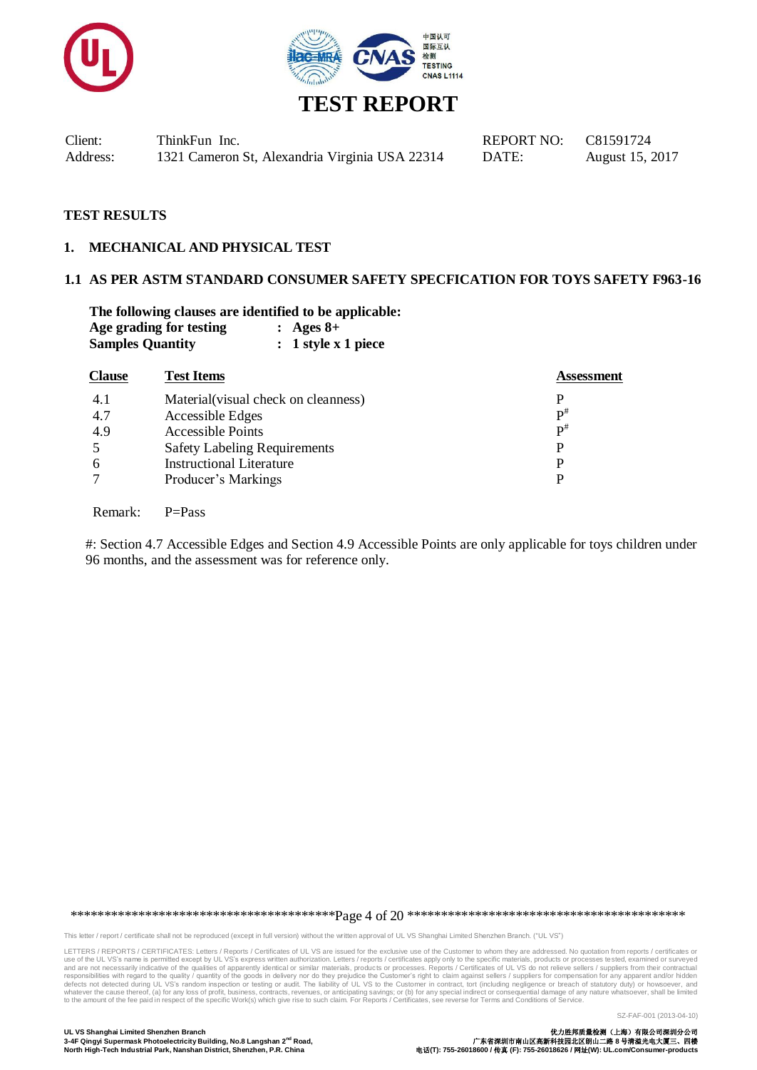



### **TEST RESULTS**

#### **1. MECHANICAL AND PHYSICAL TEST**

### **1.1 AS PER ASTM STANDARD CONSUMER SAFETY SPECFICATION FOR TOYS SAFETY F963-16**

**The following clauses are identified to be applicable: Age grading for testing : Ages 8+ Samples Quantity : 1 style x 1 piece**

| <b>Clause</b> | <b>Test Items</b>                    | <b>Assessment</b> |
|---------------|--------------------------------------|-------------------|
| 4.1           | Material (visual check on cleanness) | P                 |
| 4.7           | Accessible Edges                     | $\mathbf{p}^{\#}$ |
| 4.9           | <b>Accessible Points</b>             | $\mathbf{p}^{\#}$ |
| -5            | <b>Safety Labeling Requirements</b>  | P                 |
| 6             | <b>Instructional Literature</b>      | P                 |
| $\tau$        | Producer's Markings                  | P                 |
|               |                                      |                   |

Remark: P=Pass

#: Section 4.7 Accessible Edges and Section 4.9 Accessible Points are only applicable for toys children under 96 months, and the assessment was for reference only.

\*\*\*\*\*\*\*\*\*\*\*\*\*\*\*\*\*\*\*\*\*\*\*\*\*\*\*\*\*\*\*\*\*\*\*\*\*\*\*Page 4 of 20 \*\*\*\*\*\*\*\*\*\*\*\*\*\*\*\*\*\*\*\*\*\*\*\*\*\*\*\*\*\*\*\*\*\*\*\*\*\*\*\*\*

This letter / report / certificate shall not be reproduced (except in full version) without the written approval of UL VS Shanghai Limited Shenzhen Branch. ("UL VS")

LETTERS / REPORTS / CERTIFICATES: Letters / Reports / Certificates of UL VS are issued for the exclusive use of the Customer to whom they are addressed. No quotation from reports / certificates or<br>use of the UL VS's name i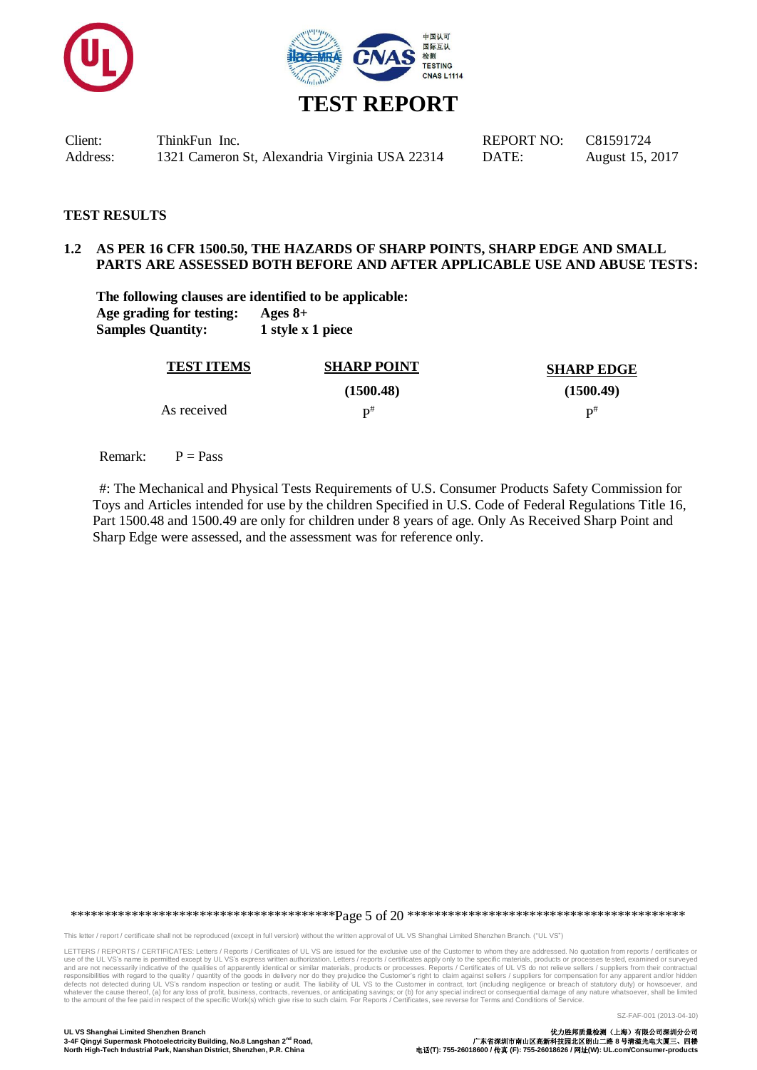



#### **TEST RESULTS**

#### **1.2 AS PER 16 CFR 1500.50, THE HAZARDS OF SHARP POINTS, SHARP EDGE AND SMALL PARTS ARE ASSESSED BOTH BEFORE AND AFTER APPLICABLE USE AND ABUSE TESTS:**

**The following clauses are identified to be applicable: Age grading for testing: Ages 8+ Samples Quantity: 1 style x 1 piece**

| <b>TEST ITEMS</b> | <b>SHARP POINT</b> | <b>SHARP EDGE</b> |
|-------------------|--------------------|-------------------|
|                   | (1500.48)          | (1500.49)         |
| As received       | D#                 | $\mathbf{p}^{\#}$ |

Remark:  $P = Pass$ 

#: The Mechanical and Physical Tests Requirements of U.S. Consumer Products Safety Commission for Toys and Articles intended for use by the children Specified in U.S. Code of Federal Regulations Title 16, Part 1500.48 and 1500.49 are only for children under 8 years of age. Only As Received Sharp Point and Sharp Edge were assessed, and the assessment was for reference only.

\*\*\*\*\*\*\*\*\*\*\*\*\*\*\*\*\*\*\*\*\*\*\*\*\*\*\*\*\*\*\*\*\*\*\*\*\*\*\*Page 5 of 20 \*\*\*\*\*\*\*\*\*\*\*\*\*\*\*\*\*\*\*\*\*\*\*\*\*\*\*\*\*\*\*\*\*\*\*\*\*\*\*\*\*

This letter / report / certificate shall not be reproduced (except in full version) without the written approval of UL VS Shanghai Limited Shenzhen Branch. ("UL VS")

LETTERS / REPORTS / CERTIFICATES: Letters / Reports / Certificates of UL VS are issued for the exclusive use of the Customer to whom they are addressed. No quotation from reports / certificates or<br>use of the UL VS's name i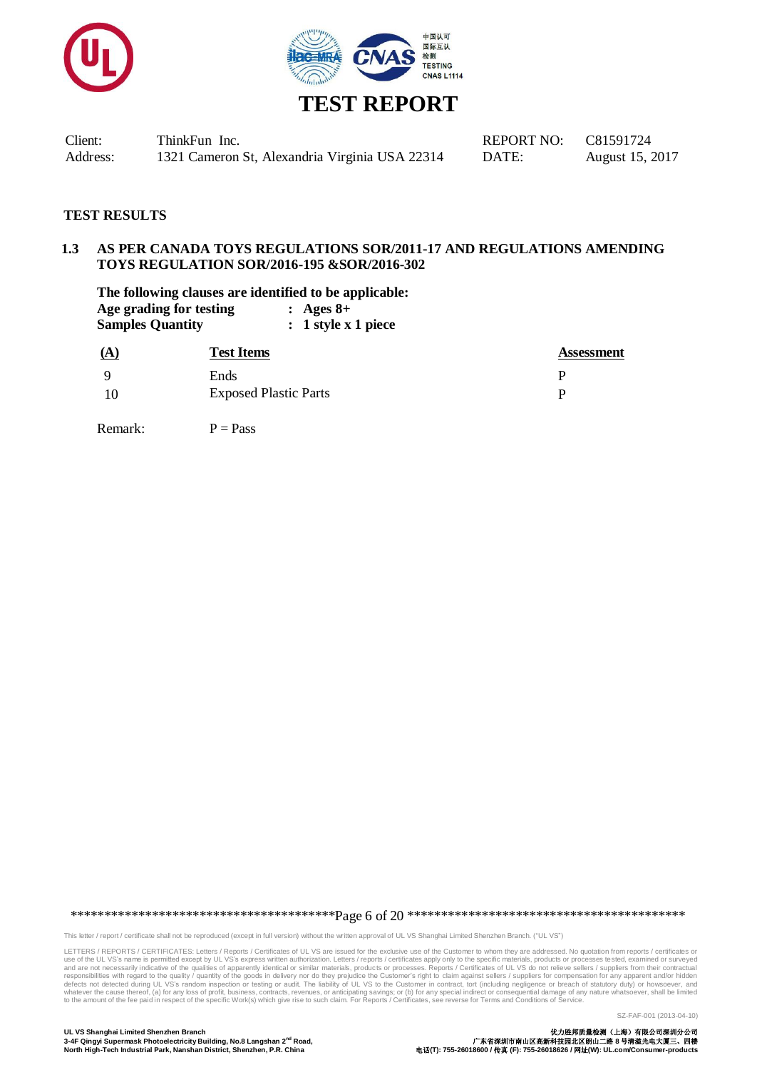



#### **TEST RESULTS**

## **1.3 AS PER CANADA TOYS REGULATIONS SOR/2011-17 AND REGULATIONS AMENDING TOYS REGULATION SOR/2016-195 &SOR/2016-302**

**The following clauses are identified to be applicable: Age grading for testing : Ages 8+ Samples Quantity : 1 style x 1 piece**

| <u>(A</u> | <b>Test Items</b>            | <b>Assessment</b> |
|-----------|------------------------------|-------------------|
| - Q       | Ends                         |                   |
|           | <b>Exposed Plastic Parts</b> |                   |

Remark:  $P = P$ ass

\*\*\*\*\*\*\*\*\*\*\*\*\*\*\*\*\*\*\*\*\*\*\*\*\*\*\*\*\*\*\*\*\*\*\*\*\*\*\*Page 6 of 20 \*\*\*\*\*\*\*\*\*\*\*\*\*\*\*\*\*\*\*\*\*\*\*\*\*\*\*\*\*\*\*\*\*\*\*\*\*\*\*\*\*

This letter / report / certificate shall not be reproduced (except in full version) without the written approval of UL VS Shanghai Limited Shenzhen Branch. ("UL VS")

LETTERS / REPORTS / CERTIFICATES: Letters / Reports / Certificates of UL VS are issued for the exclusive use of the Customer to whom they are addressed. No quotation from reports / certificates or<br>use of the UL VS's name i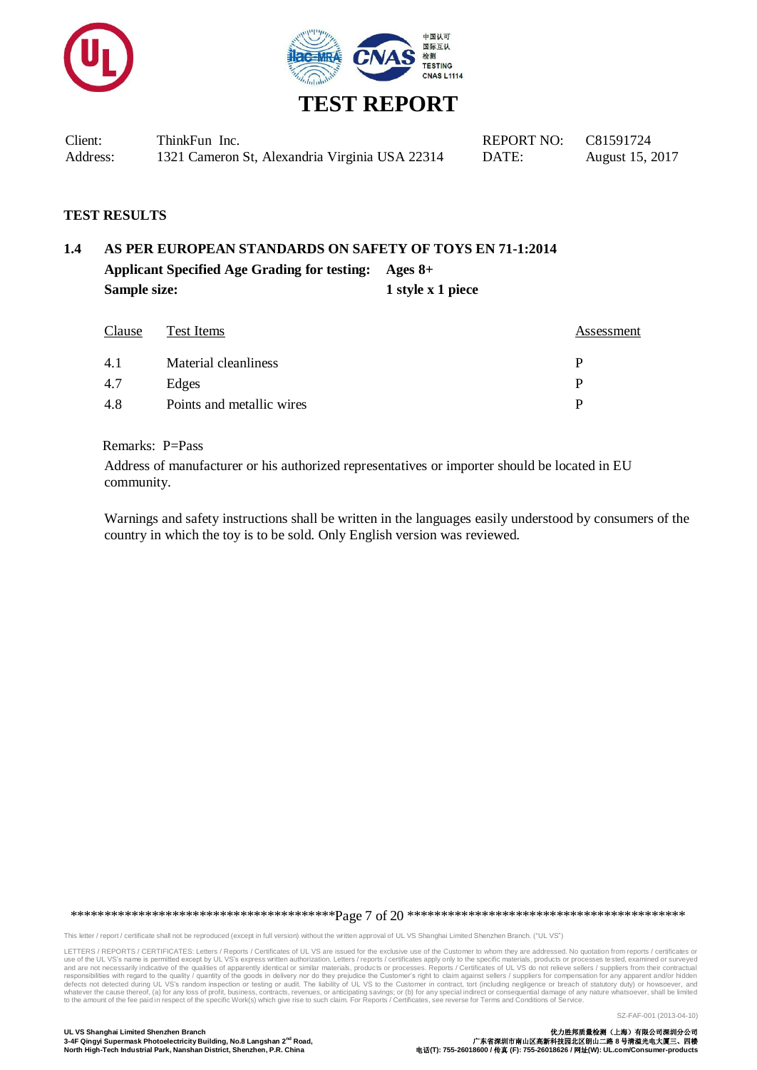



| Client:  | ThinkFun Inc.                                  | REPORT NO: $C81591724$ |                 |
|----------|------------------------------------------------|------------------------|-----------------|
| Address: | 1321 Cameron St, Alexandria Virginia USA 22314 | DATE:                  | August 15, 2017 |

#### **TEST RESULTS**

## **1.4 AS PER EUROPEAN STANDARDS ON SAFETY OF TOYS EN 71-1:2014 Applicant Specified Age Grading for testing: Ages 8+ Sample size:** 1 **style x 1 piece**

| Clause | Test Items                | Assessment |
|--------|---------------------------|------------|
| 4.1    | Material cleanliness      |            |
| 4.7    | Edges                     | D          |
| -4.8   | Points and metallic wires |            |

#### Remarks: P=Pass

Address of manufacturer or his authorized representatives or importer should be located in EU community.

Warnings and safety instructions shall be written in the languages easily understood by consumers of the country in which the toy is to be sold. Only English version was reviewed.

\*\*\*\*\*\*\*\*\*\*\*\*\*\*\*\*\*\*\*\*\*\*\*\*\*\*\*\*\*\*\*\*\*\*\*\*\*\*\*Page 7 of 20 \*\*\*\*\*\*\*\*\*\*\*\*\*\*\*\*\*\*\*\*\*\*\*\*\*\*\*\*\*\*\*\*\*\*\*\*\*\*\*\*\*

This letter / report / certificate shall not be reproduced (except in full version) without the written approval of UL VS Shanghai Limited Shenzhen Branch. ("UL VS")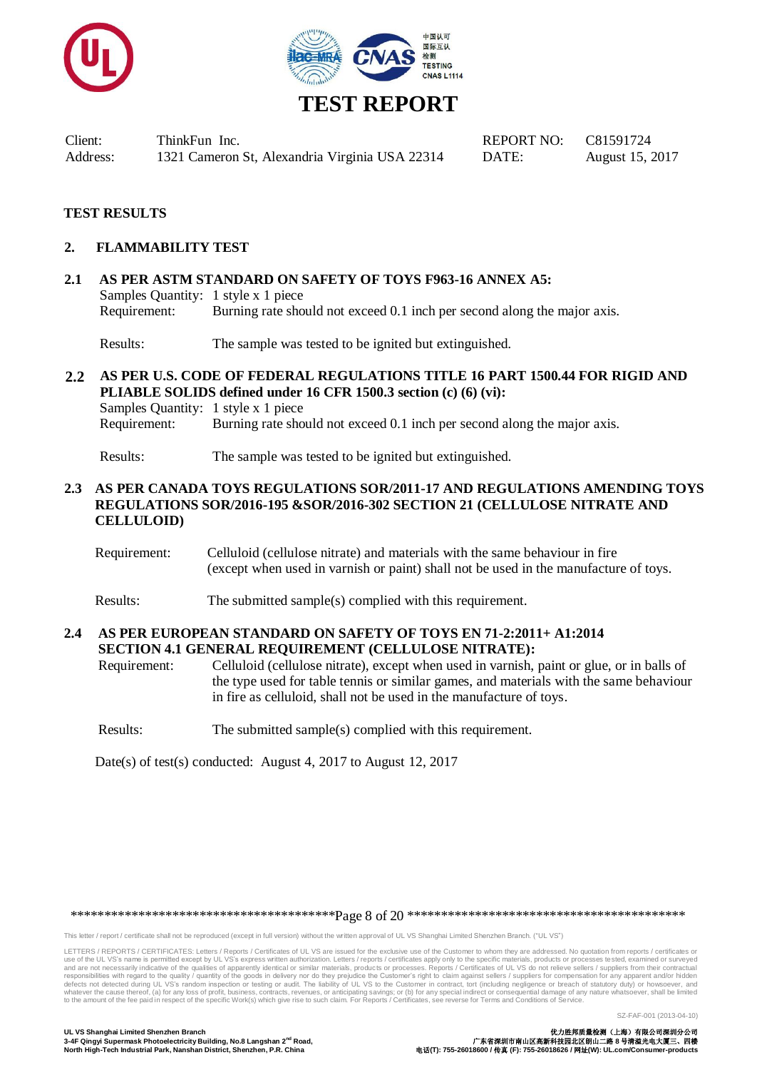



# **TEST REPORT**

Client: ThinkFun Inc. REPORT NO: C81591724 Address: 1321 Cameron St, Alexandria Virginia USA 22314 DATE: August 15, 2017

### **TEST RESULTS**

#### **2. FLAMMABILITY TEST**

**2.1 AS PER ASTM STANDARD ON SAFETY OF TOYS F963-16 ANNEX A5:** Samples Quantity: 1 style x 1 piece Requirement: Burning rate should not exceed 0.1 inch per second along the major axis.

Results: The sample was tested to be ignited but extinguished.

**2.2 AS PER U.S. CODE OF FEDERAL REGULATIONS TITLE 16 PART 1500.44 FOR RIGID AND PLIABLE SOLIDS defined under 16 CFR 1500.3 section (c) (6) (vi):** Samples Quantity: 1 style x 1 piece Requirement: Burning rate should not exceed 0.1 inch per second along the major axis.

Results: The sample was tested to be ignited but extinguished.

#### **2.3 AS PER CANADA TOYS REGULATIONS SOR/2011-17 AND REGULATIONS AMENDING TOYS REGULATIONS SOR/2016-195 &SOR/2016-302 SECTION 21 (CELLULOSE NITRATE AND CELLULOID)**

- Requirement: Celluloid (cellulose nitrate) and materials with the same behaviour in fire (except when used in varnish or paint) shall not be used in the manufacture of toys.
- Results: The submitted sample(s) complied with this requirement.

#### **2.4 AS PER EUROPEAN STANDARD ON SAFETY OF TOYS EN 71-2:2011+ A1:2014 SECTION 4.1 GENERAL REQUIREMENT (CELLULOSE NITRATE):**

Requirement: Celluloid (cellulose nitrate), except when used in varnish, paint or glue, or in balls of the type used for table tennis or similar games, and materials with the same behaviour in fire as celluloid, shall not be used in the manufacture of toys.

Results: The submitted sample(s) complied with this requirement.

Date(s) of test(s) conducted: August 4, 2017 to August 12, 2017

\*\*\*\*\*\*\*\*\*\*\*\*\*\*\*\*\*\*\*\*\*\*\*\*\*\*\*\*\*\*\*\*\*\*\*\*\*\*\*Page 8 of 20 \*\*\*\*\*\*\*\*\*\*\*\*\*\*\*\*\*\*\*\*\*\*\*\*\*\*\*\*\*\*\*\*\*\*\*\*\*\*\*\*\*

This letter / report / certificate shall not be reproduced (except in full version) without the written approval of UL VS Shanghai Limited Shenzhen Branch. ("UL VS")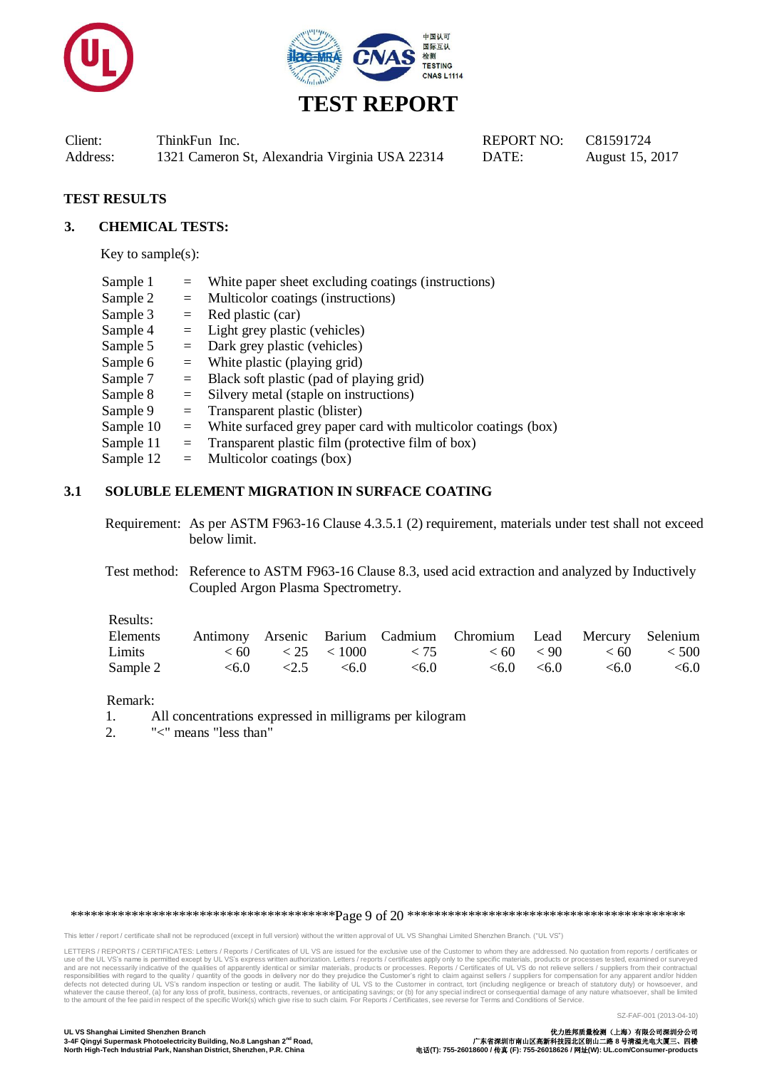



### **TEST RESULTS**

#### **3. CHEMICAL TESTS:**

Key to sample(s):

| Sample 1  |     | White paper sheet excluding coatings (instructions)           |
|-----------|-----|---------------------------------------------------------------|
| Sample 2  | $=$ | Multicolor coatings (instructions)                            |
| Sample 3  | $=$ | Red plastic (car)                                             |
| Sample 4  |     | $=$ Light grey plastic (vehicles)                             |
| Sample 5  | $=$ | Dark grey plastic (vehicles)                                  |
| Sample 6  |     | $=$ White plastic (playing grid)                              |
| Sample 7  |     | $=$ Black soft plastic (pad of playing grid)                  |
| Sample 8  | $=$ | Silvery metal (staple on instructions)                        |
| Sample 9  | $=$ | Transparent plastic (blister)                                 |
| Sample 10 | $=$ | White surfaced grey paper card with multicolor coatings (box) |
| Sample 11 | $=$ | Transparent plastic film (protective film of box)             |
| Sample 12 |     | $=$ Multicolor coatings (box)                                 |

### **3.1 SOLUBLE ELEMENT MIGRATION IN SURFACE COATING**

Requirement: As per ASTM F963-16 Clause 4.3.5.1 (2) requirement, materials under test shall not exceed below limit.

Test method: Reference to ASTM F963-16 Clause 8.3, used acid extraction and analyzed by Inductively Coupled Argon Plasma Spectrometry.

#### Results:

| Elements |  |                                             | Antimony Arsenic Barium Cadmium Chromium Lead Mercury Selenium                                                                                                             |                                  |       |
|----------|--|---------------------------------------------|----------------------------------------------------------------------------------------------------------------------------------------------------------------------------|----------------------------------|-------|
| Limits   |  |                                             | $\langle 60 \rangle$ $\langle 25 \rangle$ $\langle 1000 \rangle$ $\langle 75 \rangle$ $\langle 60 \rangle$ $\langle 90 \rangle$ $\langle 60 \rangle$ $\langle 500 \rangle$ |                                  |       |
| Sample 2 |  | $\leq 6.0$ $\leq 2.5$ $\leq 6.0$ $\leq 6.0$ |                                                                                                                                                                            | $\leq 6.0$ $\leq 6.0$ $\leq 6.0$ | < 6.0 |

Remark:

1. All concentrations expressed in milligrams per kilogram

2. "<" means "less than"

\*\*\*\*\*\*\*\*\*\*\*\*\*\*\*\*\*\*\*\*\*\*\*\*\*\*\*\*\*\*\*\*\*\*\*\*\*\*\*Page 9 of 20 \*\*\*\*\*\*\*\*\*\*\*\*\*\*\*\*\*\*\*\*\*\*\*\*\*\*\*\*\*\*\*\*\*\*\*\*\*\*\*\*\*

This letter / report / certificate shall not be reproduced (except in full version) without the written approval of UL VS Shanghai Limited Shenzhen Branch. ("UL VS")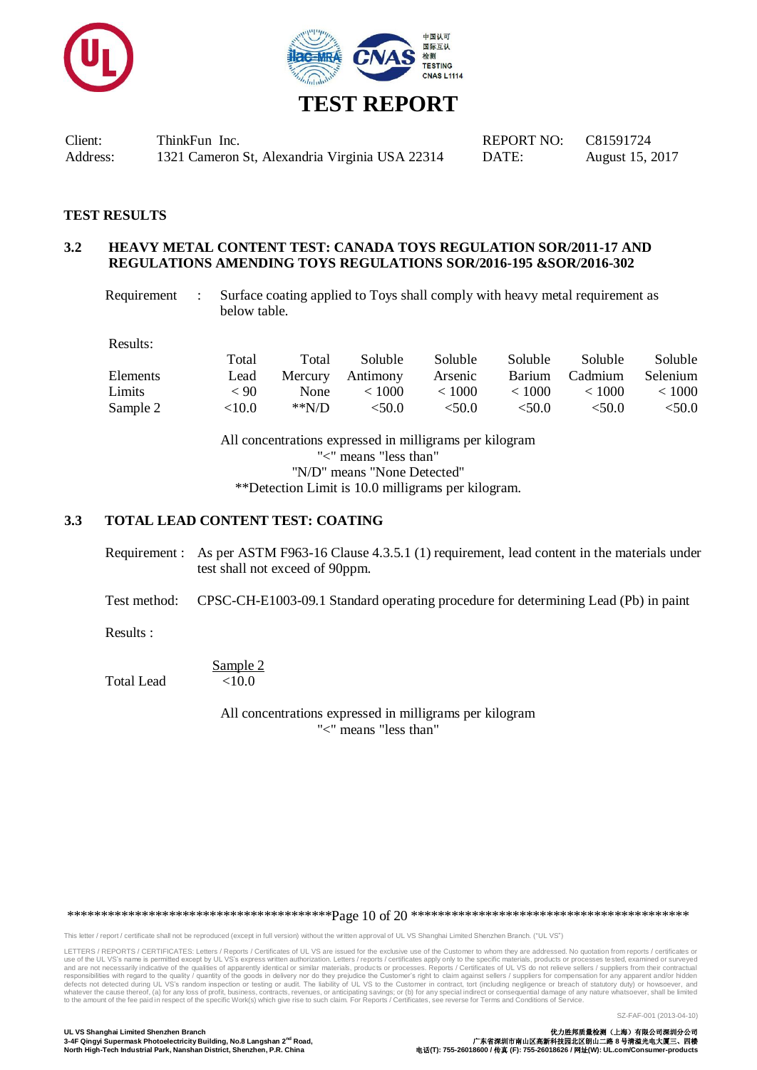



### **TEST RESULTS**

#### **3.2 HEAVY METAL CONTENT TEST: CANADA TOYS REGULATION SOR/2011-17 AND REGULATIONS AMENDING TOYS REGULATIONS SOR/2016-195 &SOR/2016-302**

Requirement : Surface coating applied to Toys shall comply with heavy metal requirement as below table.

Results:

|                 | Total     | Total  | Soluble          | <b>Soluble</b> | <b>Soluble</b> | Soluble     | <b>Soluble</b>  |
|-----------------|-----------|--------|------------------|----------------|----------------|-------------|-----------------|
| <b>Elements</b> | Lead      |        | Mercury Antimony | Arsenic        | Barium         | Cadmium     | <b>Selenium</b> |
| Limits          | < 90      | None   | < 1000           | < 1000         | < 1000         | < 1000      | < 1000          |
| Sample 2        | ${<}10.0$ | $*N/D$ | < 50.0           | $<$ 50.0       | < 50.0         | $\leq 50.0$ | < 50.0          |

All concentrations expressed in milligrams per kilogram "<" means "less than" "N/D" means "None Detected" \*\*Detection Limit is 10.0 milligrams per kilogram.

#### **3.3 TOTAL LEAD CONTENT TEST: COATING**

Requirement : As per ASTM F963-16 Clause 4.3.5.1 (1) requirement, lead content in the materials under test shall not exceed of 90ppm.

Test method: CPSC-CH-E1003-09.1 Standard operating procedure for determining Lead (Pb) in paint

Results :

Sample 2 Total Lead <10.0

> All concentrations expressed in milligrams per kilogram "<" means "less than"

\*\*\*\*\*\*\*\*\*\*\*\*\*\*\*\*\*\*\*\*\*\*\*\*\*\*\*\*\*\*\*\*\*\*\*\*\*\*\*Page 10 of 20 \*\*\*\*\*\*\*\*\*\*\*\*\*\*\*\*\*\*\*\*\*\*\*\*\*\*\*\*\*\*\*\*\*\*\*\*\*\*\*\*\*

This letter / report / certificate shall not be reproduced (except in full version) without the written approval of UL VS Shanghai Limited Shenzhen Branch. ("UL VS")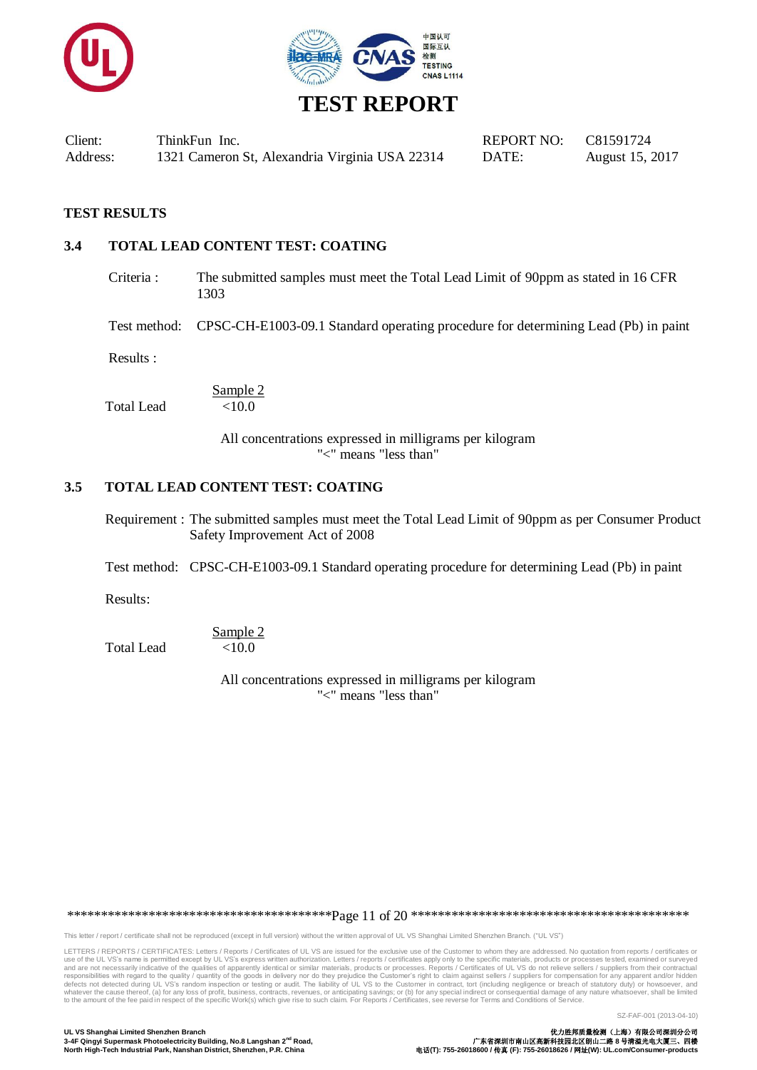



#### **TEST RESULTS**

#### **3.4 TOTAL LEAD CONTENT TEST: COATING**

Criteria : The submitted samples must meet the Total Lead Limit of 90ppm as stated in 16 CFR 1303

Test method: CPSC-CH-E1003-09.1 Standard operating procedure for determining Lead (Pb) in paint

Results :

Total Lead

 $\frac{\text{Sample 2}}{\text{10.0}}$ 

All concentrations expressed in milligrams per kilogram "<" means "less than"

#### **3.5 TOTAL LEAD CONTENT TEST: COATING**

Requirement : The submitted samples must meet the Total Lead Limit of 90ppm as per Consumer Product Safety Improvement Act of 2008

Test method: CPSC-CH-E1003-09.1 Standard operating procedure for determining Lead (Pb) in paint

Results:

Sample 2 Total Lead  $<10.0$ 

> All concentrations expressed in milligrams per kilogram "<" means "less than"

\*\*\*\*\*\*\*\*\*\*\*\*\*\*\*\*\*\*\*\*\*\*\*\*\*\*\*\*\*\*\*\*\*\*\*\*\*\*\*Page 11 of 20 \*\*\*\*\*\*\*\*\*\*\*\*\*\*\*\*\*\*\*\*\*\*\*\*\*\*\*\*\*\*\*\*\*\*\*\*\*\*\*\*\*

This letter / report / certificate shall not be reproduced (except in full version) without the written approval of UL VS Shanghai Limited Shenzhen Branch. ("UL VS")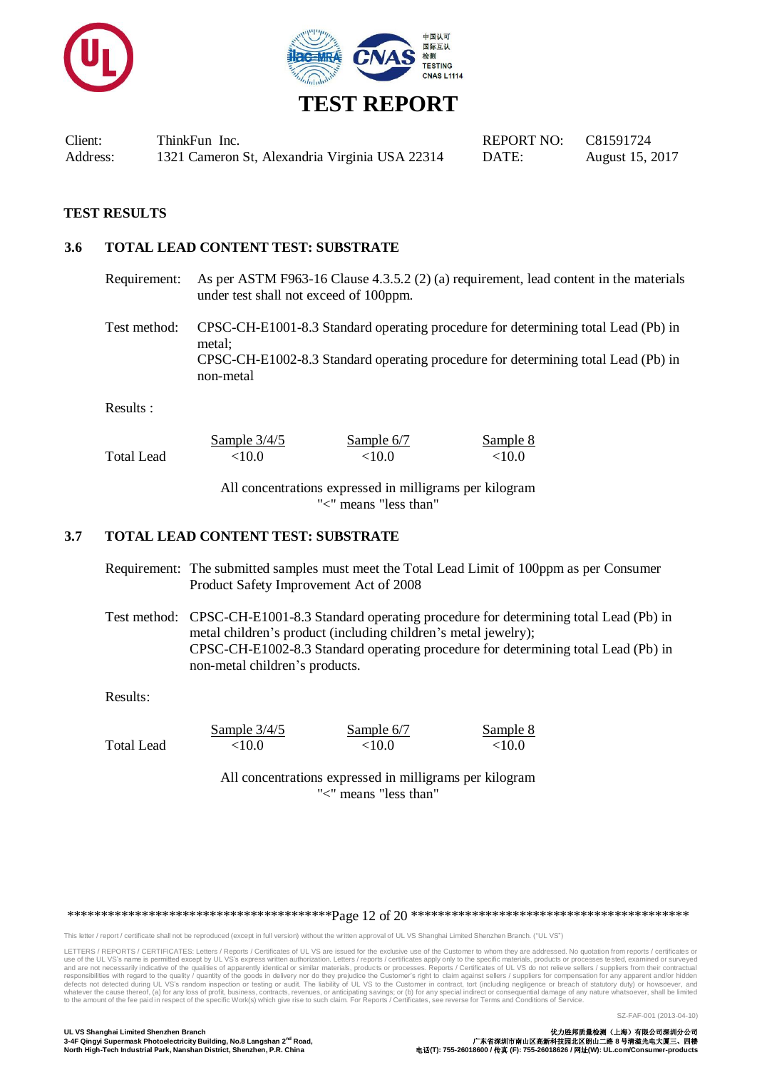



### **TEST RESULTS**

### **3.6 TOTAL LEAD CONTENT TEST: SUBSTRATE**

Requirement: As per ASTM F963-16 Clause 4.3.5.2 (2) (a) requirement, lead content in the materials under test shall not exceed of 100ppm.

Test method: CPSC-CH-E1001-8.3 Standard operating procedure for determining total Lead (Pb) in metal; CPSC-CH-E1002-8.3 Standard operating procedure for determining total Lead (Pb) in non-metal

Results :

|            | Sample $3/4/5$ | Sample 6/7 | Sample 8  |
|------------|----------------|------------|-----------|
| Total Lead | ${<}10.0$      | ${<}10.0$  | ${<}10.0$ |

All concentrations expressed in milligrams per kilogram "<" means "less than"

#### **3.7 TOTAL LEAD CONTENT TEST: SUBSTRATE**

Requirement: The submitted samples must meet the Total Lead Limit of 100ppm as per Consumer Product Safety Improvement Act of 2008

Test method: CPSC-CH-E1001-8.3 Standard operating procedure for determining total Lead (Pb) in metal children's product (including children's metal jewelry); CPSC-CH-E1002-8.3 Standard operating procedure for determining total Lead (Pb) in non-metal children's products.

#### Results:

Sample 3/4/5 Sample 6/7 Sample 8

Total Lead  $< 10.0$   $< 10.0$   $< 10.0$ 

All concentrations expressed in milligrams per kilogram "<" means "less than"

\*\*\*\*\*\*\*\*\*\*\*\*\*\*\*\*\*\*\*\*\*\*\*\*\*\*\*\*\*\*\*\*\*\*\*\*\*\*\*Page 12 of 20 \*\*\*\*\*\*\*\*\*\*\*\*\*\*\*\*\*\*\*\*\*\*\*\*\*\*\*\*\*\*\*\*\*\*\*\*\*\*\*\*\*

This letter / report / certificate shall not be reproduced (except in full version) without the written approval of UL VS Shanghai Limited Shenzhen Branch. ("UL VS")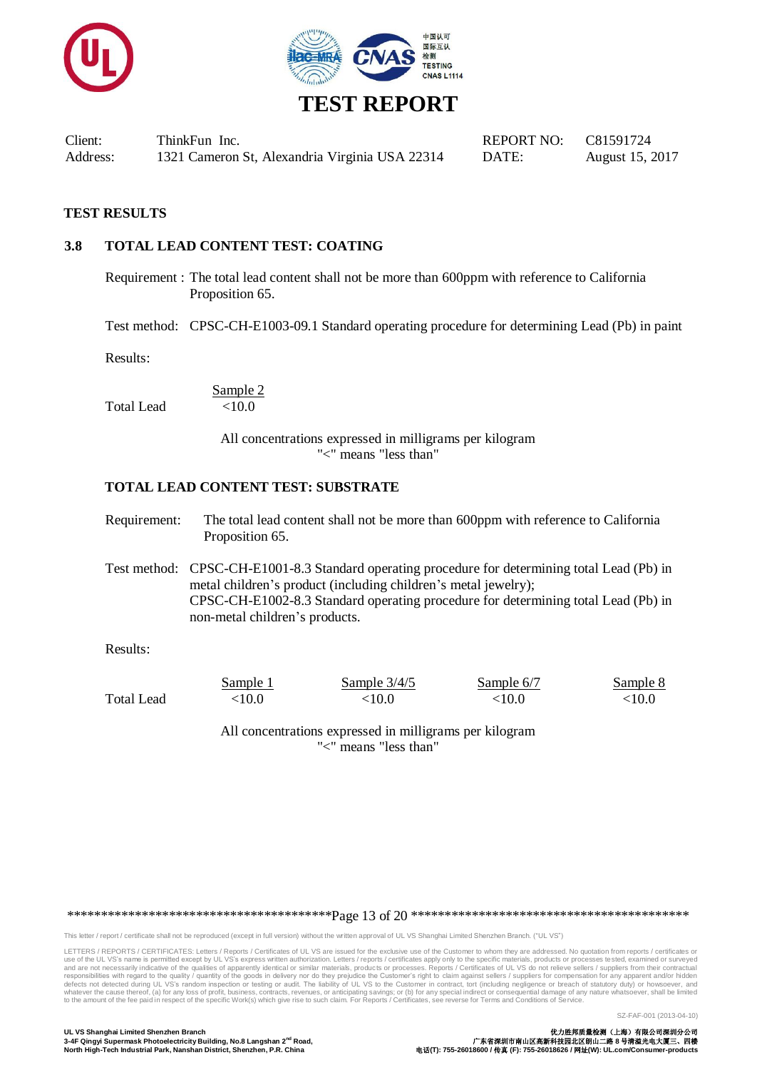



### **TEST RESULTS**

### **3.8 TOTAL LEAD CONTENT TEST: COATING**

Requirement : The total lead content shall not be more than 600ppm with reference to California Proposition 65.

Test method: CPSC-CH-E1003-09.1 Standard operating procedure for determining Lead (Pb) in paint

Results:

Sample 2 Total Lead  $<10.0$ 

> All concentrations expressed in milligrams per kilogram "<" means "less than"

#### **TOTAL LEAD CONTENT TEST: SUBSTRATE**

| Requirement: | The total lead content shall not be more than 600ppm with reference to California |
|--------------|-----------------------------------------------------------------------------------|
|              | Proposition 65.                                                                   |

Test method: CPSC-CH-E1001-8.3 Standard operating procedure for determining total Lead (Pb) in metal children's product (including children's metal jewelry); CPSC-CH-E1002-8.3 Standard operating procedure for determining total Lead (Pb) in non-metal children's products.

Results:

|                   | Sample 1 | Sample $3/4/5$ | Sample 6/7  | Sample 8  |
|-------------------|----------|----------------|-------------|-----------|
| <b>Total Lead</b> | <10.0    | < 10.0         | $<\!\!10.0$ | ${<}10.0$ |

All concentrations expressed in milligrams per kilogram "<" means "less than"

\*\*\*\*\*\*\*\*\*\*\*\*\*\*\*\*\*\*\*\*\*\*\*\*\*\*\*\*\*\*\*\*\*\*\*\*\*\*\*Page 13 of 20 \*\*\*\*\*\*\*\*\*\*\*\*\*\*\*\*\*\*\*\*\*\*\*\*\*\*\*\*\*\*\*\*\*\*\*\*\*\*\*\*\*

This letter / report / certificate shall not be reproduced (except in full version) without the written approval of UL VS Shanghai Limited Shenzhen Branch. ("UL VS")

LETTERS / REPORTS / CERTIFICATES: Letters / Reports / Certificates of UL VS are issued for the exclusive use of the Customer to whom they are addressed. No quotation from reports / certificates or<br>use of the UL VS's name i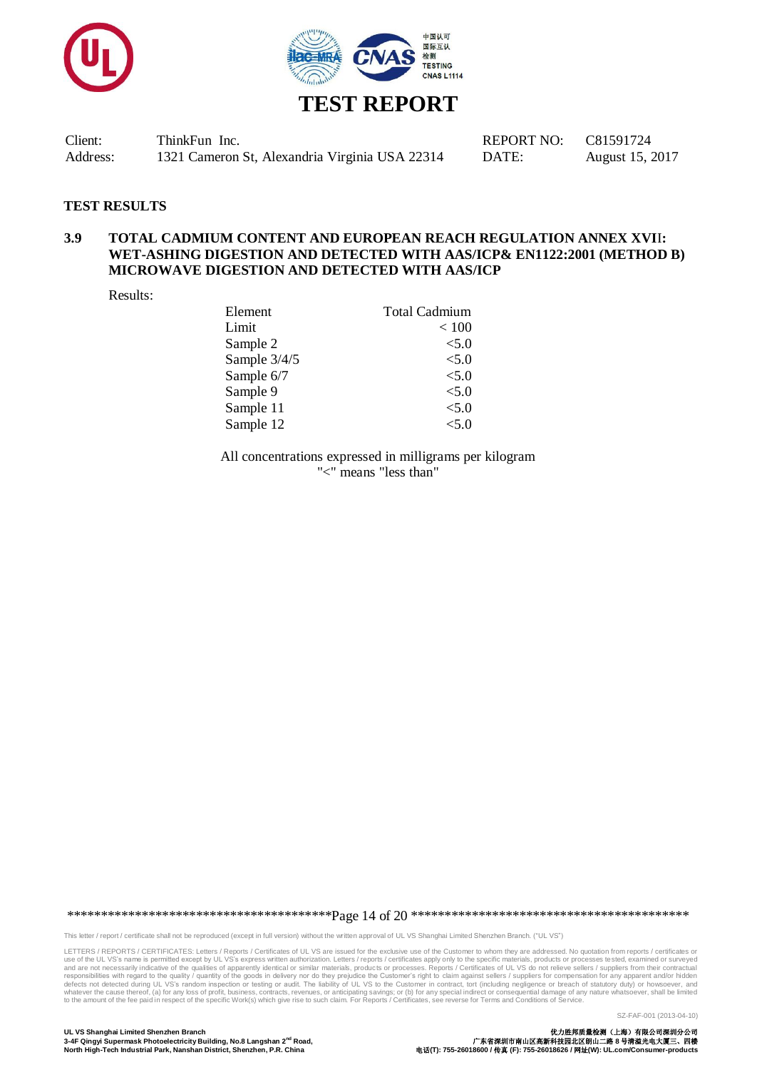



#### **TEST RESULTS**

#### **3.9 TOTAL CADMIUM CONTENT AND EUROPEAN REACH REGULATION ANNEX XVI**I**: WET-ASHING DIGESTION AND DETECTED WITH AAS/ICP& EN1122:2001 (METHOD B) MICROWAVE DIGESTION AND DETECTED WITH AAS/ICP**

Results:

| Element      | <b>Total Cadmium</b> |
|--------------|----------------------|
| Limit        | < 100                |
| Sample 2     | < 5.0                |
| Sample 3/4/5 | < 5.0                |
| Sample 6/7   | < 5.0                |
| Sample 9     | < 5.0                |
| Sample 11    | < 5.0                |
| Sample 12    | $<$ 5.0              |

All concentrations expressed in milligrams per kilogram "<" means "less than"

\*\*\*\*\*\*\*\*\*\*\*\*\*\*\*\*\*\*\*\*\*\*\*\*\*\*\*\*\*\*\*\*\*\*\*\*\*\*\*Page 14 of 20 \*\*\*\*\*\*\*\*\*\*\*\*\*\*\*\*\*\*\*\*\*\*\*\*\*\*\*\*\*\*\*\*\*\*\*\*\*\*\*\*\*

This letter / report / certificate shall not be reproduced (except in full version) without the written approval of UL VS Shanghai Limited Shenzhen Branch. ("UL VS")

LETTERS / REPORTS / CERTIFICATES: Letters / Reports / Certificates of UL VS are issued for the exclusive use of the Customer to whom they are addressed. No quotation from reports / certificates or<br>use of the UL VS's name i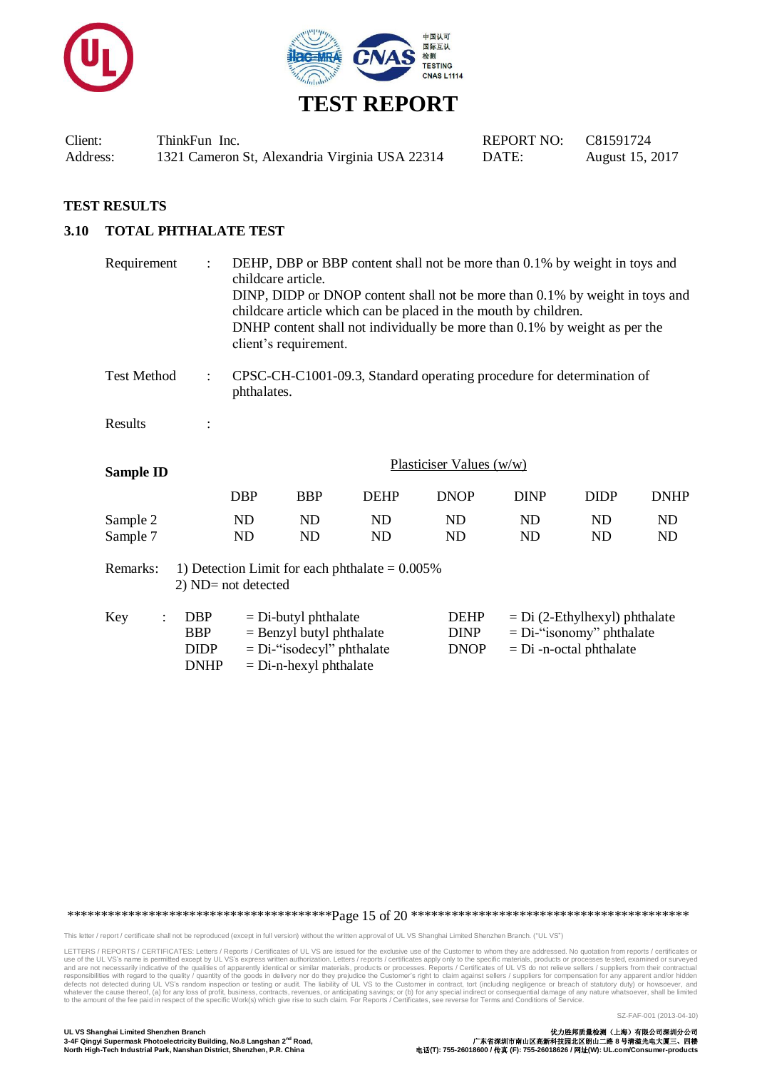



#### **TEST RESULTS**

### **3.10 TOTAL PHTHALATE TEST**

| Requirement                                                                          | $\ddot{\cdot}$                                         | DEHP, DBP or BBP content shall not be more than 0.1% by weight in toys and<br>childcare article.<br>DINP, DIDP or DNOP content shall not be more than 0.1% by weight in toys and<br>childcare article which can be placed in the mouth by children.<br>DNHP content shall not individually be more than 0.1% by weight as per the<br>client's requirement. |                                                                                                                  |                                                                       |                                           |                           |                                                                |             |
|--------------------------------------------------------------------------------------|--------------------------------------------------------|------------------------------------------------------------------------------------------------------------------------------------------------------------------------------------------------------------------------------------------------------------------------------------------------------------------------------------------------------------|------------------------------------------------------------------------------------------------------------------|-----------------------------------------------------------------------|-------------------------------------------|---------------------------|----------------------------------------------------------------|-------------|
| <b>Test Method</b>                                                                   | $\ddot{\cdot}$                                         | phthalates.                                                                                                                                                                                                                                                                                                                                                |                                                                                                                  | CPSC-CH-C1001-09.3, Standard operating procedure for determination of |                                           |                           |                                                                |             |
| Results                                                                              |                                                        |                                                                                                                                                                                                                                                                                                                                                            |                                                                                                                  |                                                                       |                                           |                           |                                                                |             |
| <b>Sample ID</b>                                                                     |                                                        |                                                                                                                                                                                                                                                                                                                                                            | Plasticiser Values $(w/w)$                                                                                       |                                                                       |                                           |                           |                                                                |             |
|                                                                                      |                                                        | <b>DBP</b>                                                                                                                                                                                                                                                                                                                                                 | <b>BBP</b>                                                                                                       | <b>DEHP</b>                                                           | <b>DNOP</b>                               | <b>DINP</b>               | <b>DIDP</b>                                                    | <b>DNHP</b> |
| Sample 2<br>Sample 7                                                                 |                                                        | ND<br>ND                                                                                                                                                                                                                                                                                                                                                   | ND<br>ND                                                                                                         | <b>ND</b><br>ND                                                       | ND<br>N <sub>D</sub>                      | ND<br><b>ND</b>           | ND<br>ND                                                       | ND<br>ND    |
| Remarks:<br>1) Detection Limit for each phthalate $= 0.005\%$<br>2) ND= not detected |                                                        |                                                                                                                                                                                                                                                                                                                                                            |                                                                                                                  |                                                                       |                                           |                           |                                                                |             |
| Key                                                                                  | <b>DBP</b><br><b>BBP</b><br><b>DIDP</b><br><b>DNHP</b> |                                                                                                                                                                                                                                                                                                                                                            | $=$ Di-butyl phthalate<br>$=$ Benzyl butyl phthalate<br>$= Di$ -"isodecyl" phthalate<br>$=$ Di-n-hexyl phthalate |                                                                       | <b>DEHP</b><br><b>DINP</b><br><b>DNOP</b> | $= Di$ -n-octal phthalate | $= Di (2-Ethylhexyl)$ phthalate<br>$= Di$ -"isonomy" phthalate |             |

\*\*\*\*\*\*\*\*\*\*\*\*\*\*\*\*\*\*\*\*\*\*\*\*\*\*\*\*\*\*\*\*\*\*\*\*\*\*\*Page 15 of 20 \*\*\*\*\*\*\*\*\*\*\*\*\*\*\*\*\*\*\*\*\*\*\*\*\*\*\*\*\*\*\*\*\*\*\*\*\*\*\*\*\*

This letter / report / certificate shall not be reproduced (except in full version) without the written approval of UL VS Shanghai Limited Shenzhen Branch. ("UL VS")

LETTERS / REPORTS / CERTIFICATES: Letters / Reports / Certificates of UL VS are issued for the exclusive use of the Customer to whom they are addressed. No quotation from reports / certificates or<br>use of the UL VS's name i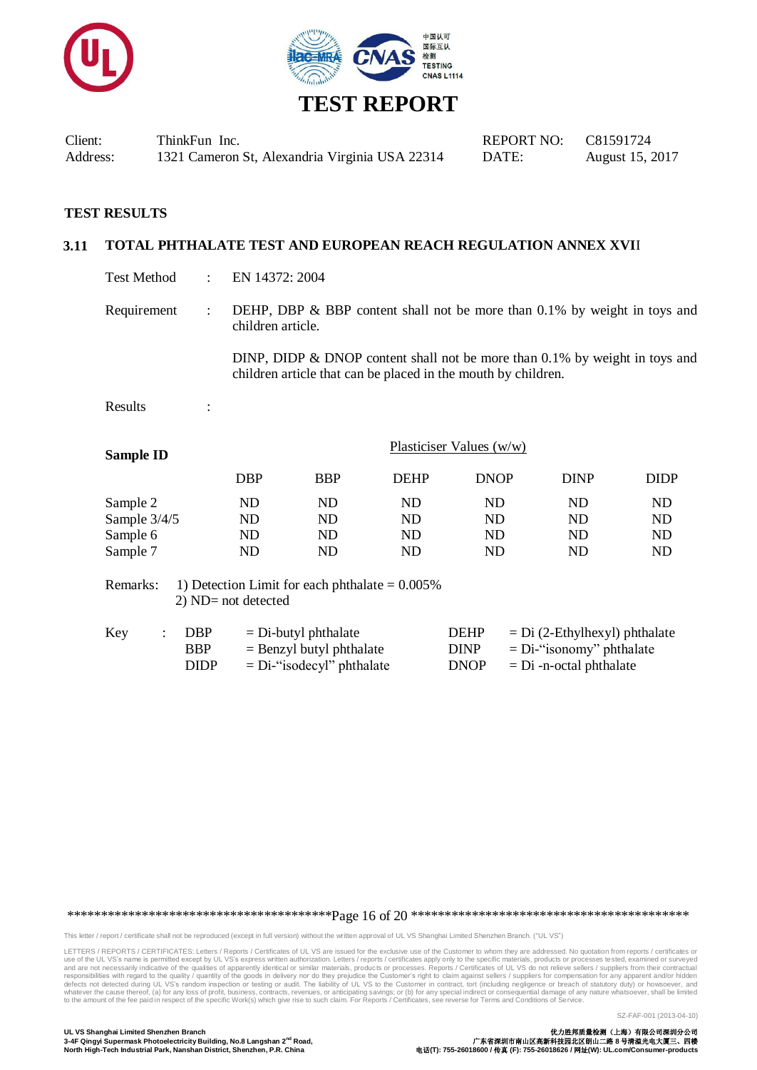



#### **TEST RESULTS**

#### **3.11 TOTAL PHTHALATE TEST AND EUROPEAN REACH REGULATION ANNEX XVI**I

Test Method : EN 14372: 2004

Requirement : DEHP, DBP  $\&$  BBP content shall not be more than 0.1% by weight in toys and children article.

> DINP, DIDP & DNOP content shall not be more than 0.1% by weight in toys and children article that can be placed in the mouth by children.

Results :

| DBP        | <b>BBP</b> | <b>DEHP</b> | <b>DNOP</b> | <b>DINP</b>                | <b>DIDP</b> |
|------------|------------|-------------|-------------|----------------------------|-------------|
| ND         | ND         | ND          | ND          | ND                         | ND          |
| ND         | ND         | ND          | ND          | ND                         | ND          |
| ${\rm ND}$ | ND         | ND          | ND          | ND                         | ND          |
| ND         | ND         | ND          | ND          | ND                         | ND          |
|            |            |             |             | Plasticiser Values $(w/w)$ |             |

Remarks: 1) Detection Limit for each phthalate  $= 0.005\%$ 2) ND= not detected

| Key | DBP         | $=$ Di-butyl phthalate       | <b>DEHP</b> | $=$ Di (2-Ethylhexyl) phthalate |
|-----|-------------|------------------------------|-------------|---------------------------------|
|     | <b>BBP</b>  | $=$ Benzyl butyl phthalate   | <b>DINP</b> | $= Di$ -"isonomy" phthalate     |
|     | <b>DIDP</b> | $= Di$ -"isodecyl" phthalate | <b>DNOP</b> | $= Di$ -n-octal phthalate       |

\*\*\*\*\*\*\*\*\*\*\*\*\*\*\*\*\*\*\*\*\*\*\*\*\*\*\*\*\*\*\*\*\*\*\*\*\*\*\*Page 16 of 20 \*\*\*\*\*\*\*\*\*\*\*\*\*\*\*\*\*\*\*\*\*\*\*\*\*\*\*\*\*\*\*\*\*\*\*\*\*\*\*\*\*

This letter / report / certificate shall not be reproduced (except in full version) without the written approval of UL VS Shanghai Limited Shenzhen Branch. ("UL VS")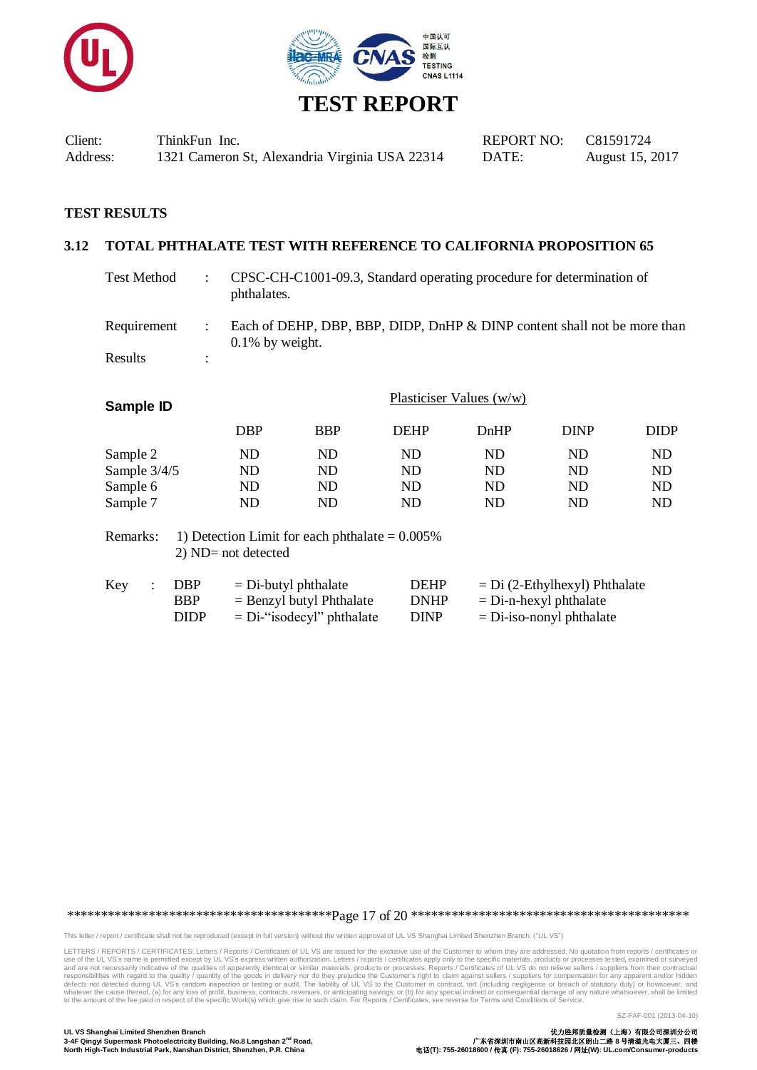



#### **TEST RESULTS**

#### **3.12 TOTAL PHTHALATE TEST WITH REFERENCE TO CALIFORNIA PROPOSITION 65**

| <b>Test Method</b>                               | ÷                                                        | CPSC-CH-C1001-09.3, Standard operating procedure for determination of<br>phthalates.           |                                    |                                    |                      |                      |  |
|--------------------------------------------------|----------------------------------------------------------|------------------------------------------------------------------------------------------------|------------------------------------|------------------------------------|----------------------|----------------------|--|
| Requirement<br>Results                           | ÷<br>$\ddot{\cdot}$                                      | Each of DEHP, DBP, BBP, DIDP, DnHP & DINP content shall not be more than<br>$0.1\%$ by weight. |                                    |                                    |                      |                      |  |
| Sample ID                                        | <b>DBP</b>                                               | <b>BBP</b>                                                                                     | <b>DEHP</b>                        | Plasticiser Values $(w/w)$<br>DnHP | <b>DINP</b>          | <b>DIDP</b>          |  |
| Sample 2<br>Sample 3/4/5<br>Sample 6<br>Sample 7 | ND<br>N <sub>D</sub><br>N <sub>D</sub><br>N <sub>D</sub> | ND<br><b>ND</b><br>ND<br>ND                                                                    | <b>ND</b><br><b>ND</b><br>ND<br>ND | ND<br><b>ND</b><br>ND<br>ND        | ND<br>ND<br>ND<br>ND | ND<br>ND<br>ND<br>ND |  |
| Remarks:                                         | 1) Detection Limit for each phthalate $= 0.005\%$        |                                                                                                |                                    |                                    |                      |                      |  |

2) ND= not detected

| Key | DBP         | $=$ Di-butyl phthalate       | <b>DEHP</b> | $= Di (2-Ethylhexyl) Phthalate$ |
|-----|-------------|------------------------------|-------------|---------------------------------|
|     | <b>BBP</b>  | $=$ Benzyl butyl Phthalate   | <b>DNHP</b> | $=$ Di-n-hexyl phthalate        |
|     | <b>DIDP</b> | $= Di$ -"isodecyl" phthalate | <b>DINP</b> | $= Di$ -iso-nonyl phthalate     |

\*\*\*\*\*\*\*\*\*\*\*\*\*\*\*\*\*\*\*\*\*\*\*\*\*\*\*\*\*\*\*\*\*\*\*\*\*\*\*Page 17 of 20 \*\*\*\*\*\*\*\*\*\*\*\*\*\*\*\*\*\*\*\*\*\*\*\*\*\*\*\*\*\*\*\*\*\*\*\*\*\*\*\*\*

This letter / report / certificate shall not be reproduced (except in full version) without the written approval of UL VS Shanghai Limited Shenzhen Branch. ("UL VS")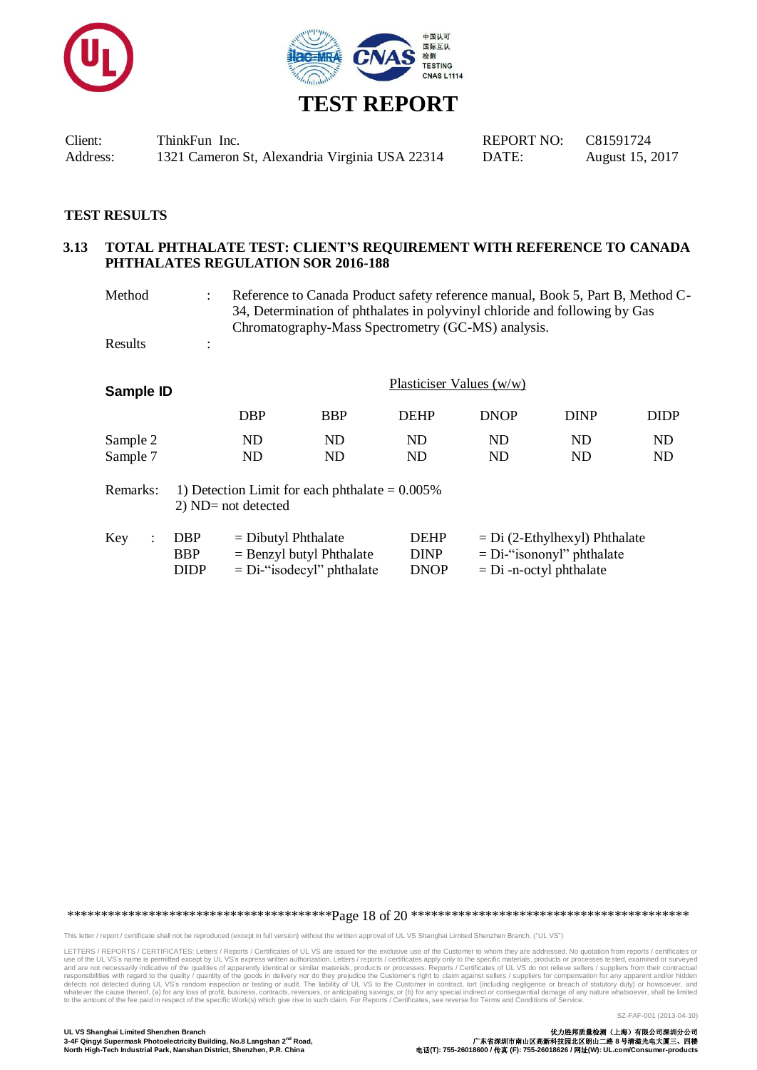



### **TEST RESULTS**

#### **3.13 TOTAL PHTHALATE TEST: CLIENT'S REQUIREMENT WITH REFERENCE TO CANADA PHTHALATES REGULATION SOR 2016-188**

Method : Reference to Canada Product safety reference manual, Book 5, Part B, Method C-34, Determination of phthalates in polyvinyl chloride and following by Gas Chromatography-Mass Spectrometry (GC-MS) analysis.

Results :

| Sample ID            | Plasticiser Values $(w/w)$ |            |             |             |             |          |  |
|----------------------|----------------------------|------------|-------------|-------------|-------------|----------|--|
|                      | <b>DBP</b>                 | <b>BBP</b> | <b>DEHP</b> | <b>DNOP</b> | <b>DINP</b> | DIDP     |  |
| Sample 2<br>Sample 7 | ND<br>ND                   | ND<br>ND   | ND<br>ND    | ND<br>ND    | ND<br>ND    | ND<br>ND |  |

Remarks: 1) Detection Limit for each phthalate = 0.005% 2) ND= not detected

| Key | DBP .       | $=$ Dibutyl Phthalate        | <b>DEHP</b> | $= Di (2-Ethylhexyl) Phthalate$ |
|-----|-------------|------------------------------|-------------|---------------------------------|
|     | <b>BBP</b>  | $=$ Benzyl butyl Phthalate   | <b>DINP</b> | $= Di$ -"isononyl" phthalate    |
|     | <b>DIDP</b> | $= Di$ -"isodecyl" phthalate | <b>DNOP</b> | $=$ Di -n-octyl phthalate       |

\*\*\*\*\*\*\*\*\*\*\*\*\*\*\*\*\*\*\*\*\*\*\*\*\*\*\*\*\*\*\*\*\*\*\*\*\*\*\*Page 18 of 20 \*\*\*\*\*\*\*\*\*\*\*\*\*\*\*\*\*\*\*\*\*\*\*\*\*\*\*\*\*\*\*\*\*\*\*\*\*\*\*\*\*

This letter / report / certificate shall not be reproduced (except in full version) without the written approval of UL VS Shanghai Limited Shenzhen Branch. ("UL VS")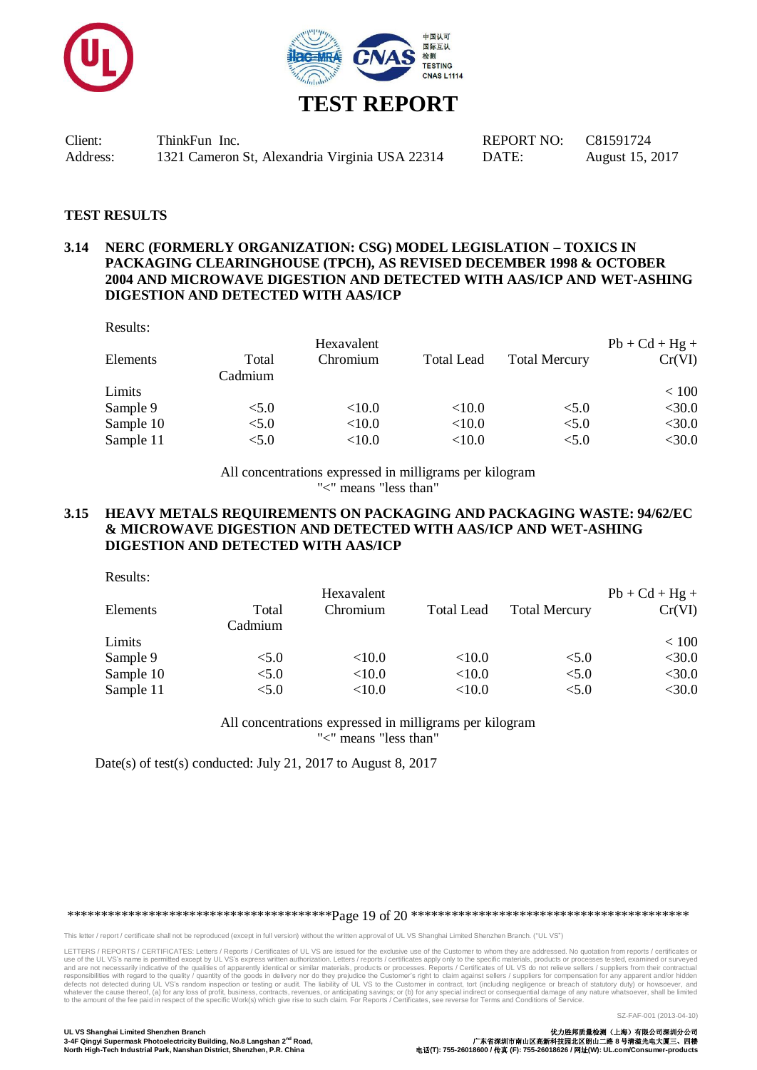



#### **TEST RESULTS**

## **3.14 NERC (FORMERLY ORGANIZATION: CSG) MODEL LEGISLATION – TOXICS IN PACKAGING CLEARINGHOUSE (TPCH), AS REVISED DECEMBER 1998 & OCTOBER 2004 AND MICROWAVE DIGESTION AND DETECTED WITH AAS/ICP AND WET-ASHING DIGESTION AND DETECTED WITH AAS/ICP**

Results:

|                  | Hexavalent |                   |                      | $Pb + Cd + Hg +$ |
|------------------|------------|-------------------|----------------------|------------------|
| Total<br>Cadmium | Chromium   | <b>Total Lead</b> | <b>Total Mercury</b> | Cr(VI)           |
|                  |            |                   |                      | < 100            |
| < 5.0            | < 10.0     | < 10.0            | < 5.0                | $<$ 30.0         |
| < 5.0            | < 10.0     | < 10.0            | < 5.0                | $<$ 30.0         |
| < 5.0            | < 10.0     | < 10.0            | < 5.0                | $<$ 30.0         |
|                  |            |                   |                      |                  |

All concentrations expressed in milligrams per kilogram "<" means "less than"

#### **3.15 HEAVY METALS REQUIREMENTS ON PACKAGING AND PACKAGING WASTE: 94/62/EC & MICROWAVE DIGESTION AND DETECTED WITH AAS/ICP AND WET-ASHING DIGESTION AND DETECTED WITH AAS/ICP**

Results:

|           |                  | Hexavalent |                   |                      | $Pb + Cd + Hg +$ |
|-----------|------------------|------------|-------------------|----------------------|------------------|
| Elements  | Total<br>Cadmium | Chromium   | <b>Total Lead</b> | <b>Total Mercury</b> | Cr(VI)           |
| Limits    |                  |            |                   |                      | < 100            |
| Sample 9  | < 5.0            | $<$ 10.0   | ${<}10.0$         | < 5.0                | $<$ 30.0         |
| Sample 10 | < 5.0            | ${<}10.0$  | < 10.0            | < 5.0                | $<$ 30.0         |
| Sample 11 | < 5.0            | ${<}10.0$  | ${<}10.0$         | < 5.0                | $<$ 30.0         |

All concentrations expressed in milligrams per kilogram "<" means "less than"

Date(s) of test(s) conducted: July 21, 2017 to August 8, 2017

\*\*\*\*\*\*\*\*\*\*\*\*\*\*\*\*\*\*\*\*\*\*\*\*\*\*\*\*\*\*\*\*\*\*\*\*\*\*\*Page 19 of 20 \*\*\*\*\*\*\*\*\*\*\*\*\*\*\*\*\*\*\*\*\*\*\*\*\*\*\*\*\*\*\*\*\*\*\*\*\*\*\*\*\*

This letter / report / certificate shall not be reproduced (except in full version) without the written approval of UL VS Shanghai Limited Shenzhen Branch. ("UL VS")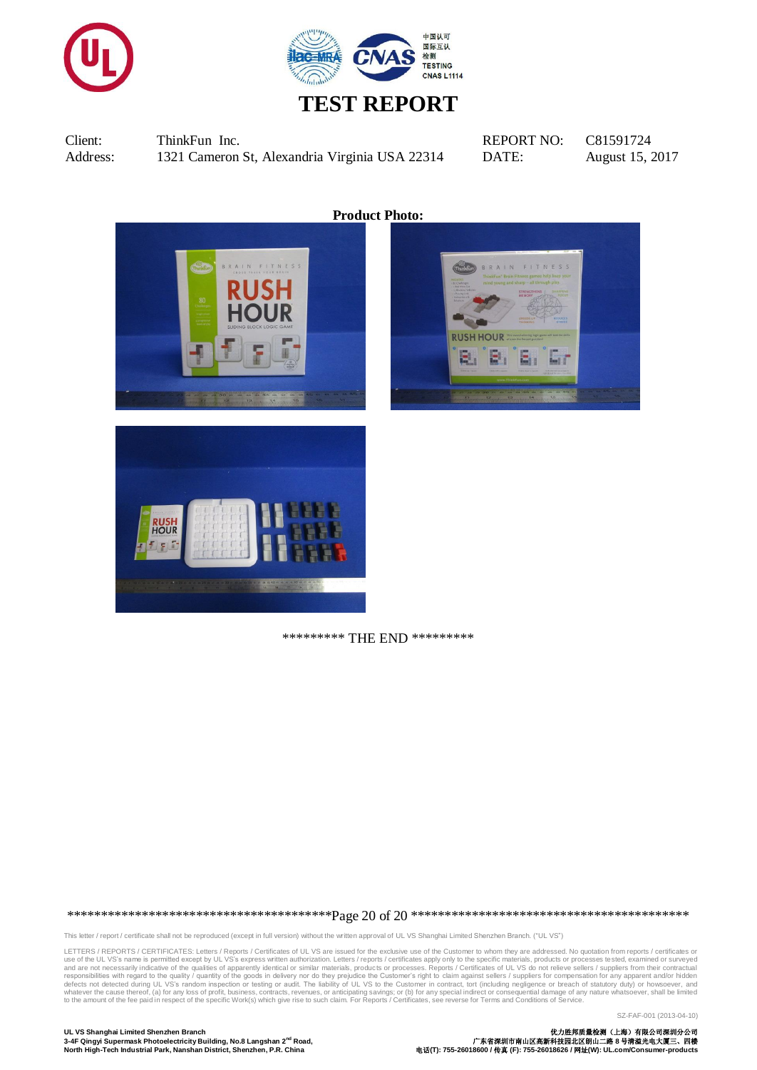



**Product Photo:**

![](_page_19_Picture_6.jpeg)

\*\*\*\*\*\*\*\*\* THE END \*\*\*\*\*\*\*\*\*

\*\*\*\*\*\*\*\*\*\*\*\*\*\*\*\*\*\*\*\*\*\*\*\*\*\*\*\*\*\*\*\*\*\*\*\*\*\*\*Page 20 of 20 \*\*\*\*\*\*\*\*\*\*\*\*\*\*\*\*\*\*\*\*\*\*\*\*\*\*\*\*\*\*\*\*\*\*\*\*\*\*\*\*\*

This letter / report / certificate shall not be reproduced (except in full version) without the written approval of UL VS Shanghai Limited Shenzhen Branch. ("UL VS")

LETTERS / REPORTS / CERTIFICATES: Letters / Reports / Certificates of UL VS are issued for the exclusive use of the Customer to whom they are addressed. No quotation from reports / certificates or<br>use of the UL VS's name i

SZ-FAF-001 (2013-04-10)

**UL VS Shanghai Limited Shenzhen Branch** 优力胜邦质量检测(上海)有限公司深圳分公司 **3-4F Qingyi Supermask Photoelectricity Building, No.8 Langshan 2nd Road,** 广东省深圳市南山区高新科技园北区朗山二路 **8** 号清溢光电大厦三、四楼 **North High-Tech Industrial Park, Nanshan District, Shenzhen, P.R. China** 电话**(T): 755-26018600 /** 传真 **(F): 755-26018626 /** 网址**(W): UL.com/Consumer-products**